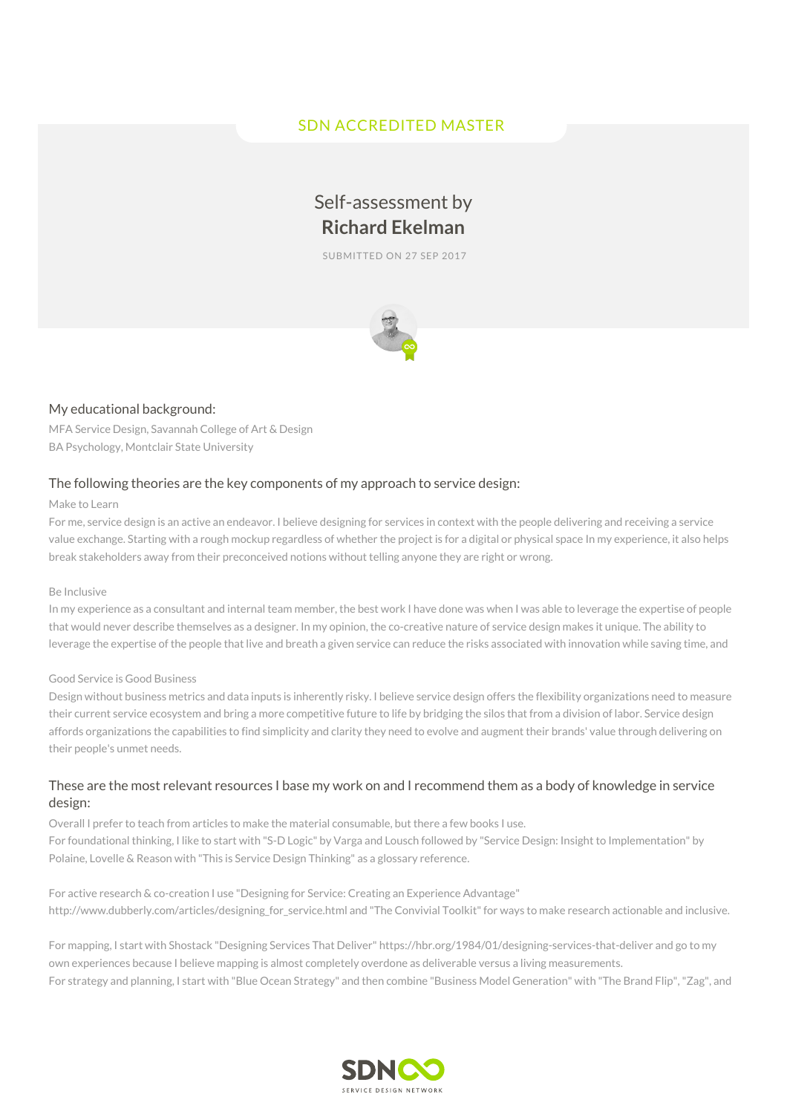# SDN ACCREDITED MASTER

# Self-assessment by **Richard Ekelman**

SUBMITTED ON 27 SEP 2017



#### My educational background:

MFA Service Design, Savannah College of Art & Design BA Psychology, Montclair State University

#### The following theories are the key components of my approach to service design:

#### Make to Learn

For me, service design is an active an endeavor. I believe designing for services in context with the people delivering and receiving a service value exchange. Starting with a rough mockup regardless of whether the project is for a digital or physical space In my experience, it also helps break stakeholders away from their preconceived notions without telling anyone they are right or wrong.

#### Be Inclusive

In my experience as a consultant and internal team member, the best work I have done was when I was able to leverage the expertise of people that would never describe themselves as a designer. In my opinion, the co-creative nature of service design makes it unique. The ability to leverage the expertise of the people that live and breath a given service can reduce the risks associated with innovation while saving time, and

#### Good Service is Good Business

Design without business metrics and data inputs is inherently risky. I believe service design offers the flexibility organizations need to measure their current service ecosystem and bring a more competitive future to life by bridging the silos that from a division of labor. Service design affords organizations the capabilities to find simplicity and clarity they need to evolve and augment their brands' value through delivering on their people's unmet needs.

#### These are the most relevant resources I base my work on and I recommend them as a body of knowledge in service design:

Overall I prefer to teach from articles to make the material consumable, but there a few books I use. For foundational thinking, I like to start with "S-D Logic" by Varga and Lousch followed by "Service Design: Insight to Implementation" by Polaine, Lovelle & Reason with "This is Service Design Thinking" as a glossary reference.

For active research & co-creation I use "Designing for Service: Creating an Experience Advantage" http://www.dubberly.com/articles/designing\_for\_service.html and "The Convivial Toolkit" for ways to make research actionable and inclusive.

For mapping, I start with Shostack "Designing Services That Deliver" https://hbr.org/1984/01/designing-services-that-deliver and go to my own experiences because I believe mapping is almost completely overdone as deliverable versus a living measurements. For strategy and planning, I start with "Blue Ocean Strategy" and then combine "Business Model Generation" with "The Brand Flip","Zag", and

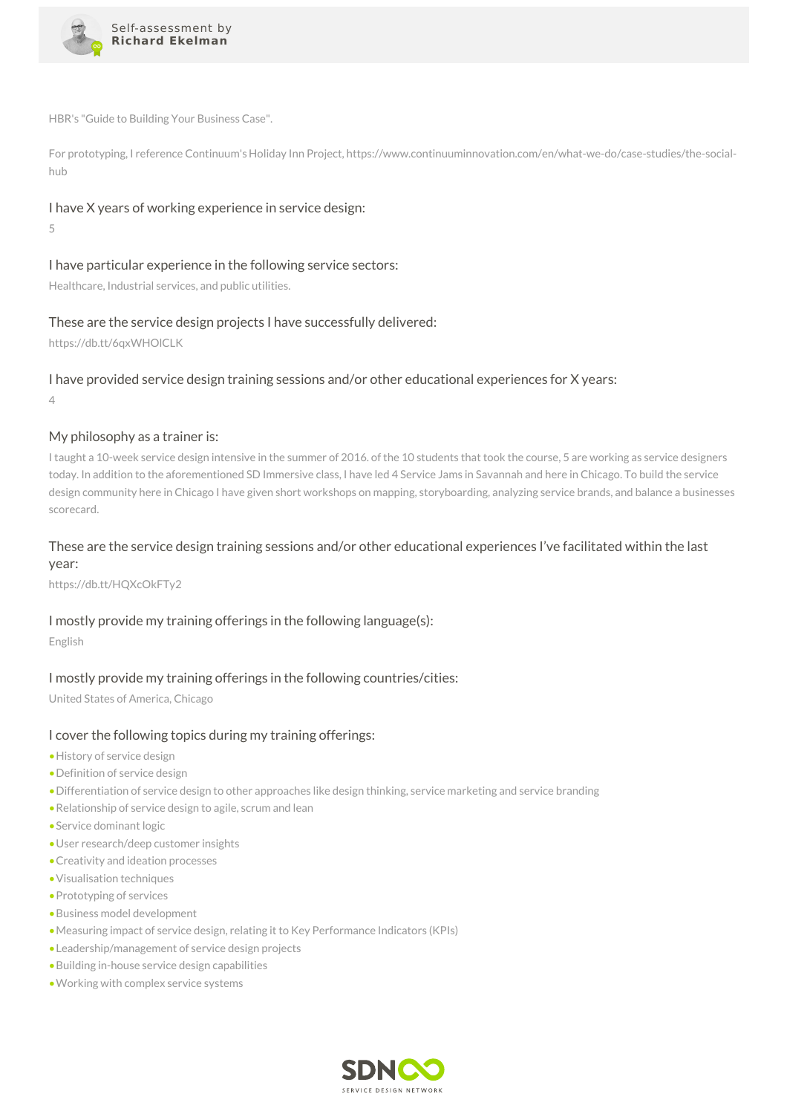

HBR's "Guide to Building Your Business Case".

For prototyping, I reference Continuum's Holiday Inn Project, https://www.continuuminnovation.com/en/what-we-do/case-studies/the-socialhub

# I have X years of working experience in service design:

5

# I have particular experience in the following service sectors:

Healthcare, Industrial services, and public utilities.

# These are the service design projects I have successfully delivered:

https://db.tt/6qxWHOlCLK

# I have provided service design training sessions and/or other educational experiences for X years:

4

# My philosophy as a trainer is:

I taught a 10-week service design intensive in the summer of 2016. of the 10 students that took the course, 5 are working as service designers today. In addition to the aforementioned SD Immersive class, I have led 4 Service Jams in Savannah and here in Chicago. To build the service design community here in Chicago I have given short workshops on mapping, storyboarding, analyzing service brands, and balance a businesses scorecard.

# These are the service design training sessions and/or other educational experiences I've facilitated within the last year:

https://db.tt/HQXcOkFTy2

# I mostly provide my training offerings in the following language(s):

English

# I mostly provide my training offerings in the following countries/cities:

United States of America, Chicago

## I cover the following topics during my training offerings:

- •History of service design
- •Definition of service design
- •Differentiation of service design to other approaches like design thinking, service marketing and service branding
- •Relationship of service design to agile, scrum and lean
- •Service dominant logic
- •User research/deep customer insights
- •Creativity and ideation processes
- •Visualisation techniques
- •Prototyping of services
- •Business model development
- •Measuring impact of service design, relating it to Key Performance Indicators (KPIs)
- •Leadership/management of service design projects
- •Building in-house service design capabilities
- •Working with complex service systems

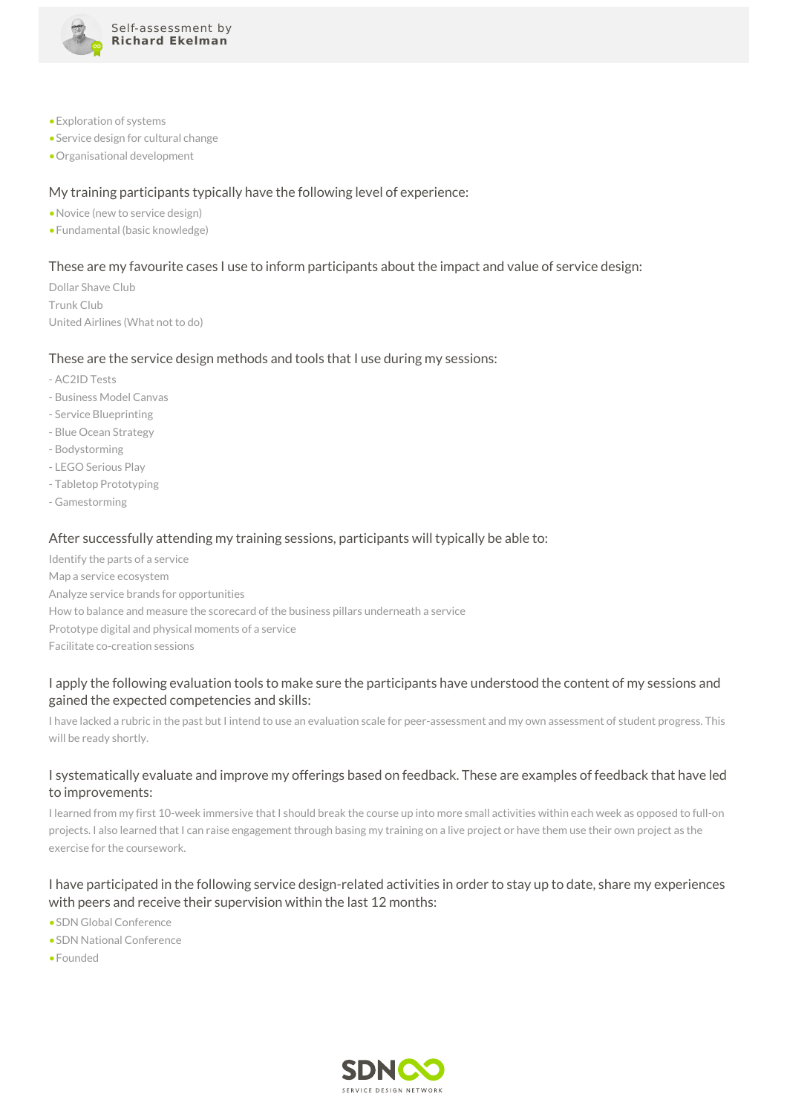

- •Exploration of systems
- •Service design for cultural change
- •Organisational development

# My training participants typically have the following level of experience:

- •Novice (new to service design)
- •Fundamental (basic knowledge)

## These are my favourite cases I use to inform participants about the impact and value of service design:

Dollar Shave Club Trunk Club United Airlines (What not to do)

#### These are the service design methods and tools that I use during my sessions:

- AC2ID Tests
- Business Model Canvas
- Service Blueprinting
- Blue Ocean Strategy
- Bodystorming
- LEGO Serious Play
- Tabletop Prototyping
- Gamestorming

#### After successfully attending my training sessions, participants will typically be able to:

Identify the parts of a service Map a service ecosystem Analyze service brands for opportunities How to balance and measure the scorecard of the business pillars underneath a service Prototype digital and physical moments of a service Facilitate co-creation sessions

# I apply the following evaluation tools to make sure the participants have understood the content of my sessions and gained the expected competencies and skills:

I have lacked a rubric in the past but I intend to use an evaluation scale for peer-assessment and my own assessment of student progress. This will be ready shortly.

## I systematically evaluate and improve my offerings based on feedback. These are examples of feedback that have led to improvements:

I learned from my first 10-week immersive that I should break the course up into more small activities within each week as opposed to full-on projects. I also learned that I can raise engagement through basing my training on a live project or have them use their own project as the exercise for the coursework.

## I have participated in the following service design-related activities in order to stay up to date, share my experiences with peers and receive their supervision within the last 12 months:

- •SDN Global Conference
- •SDN National Conference
- •Founded